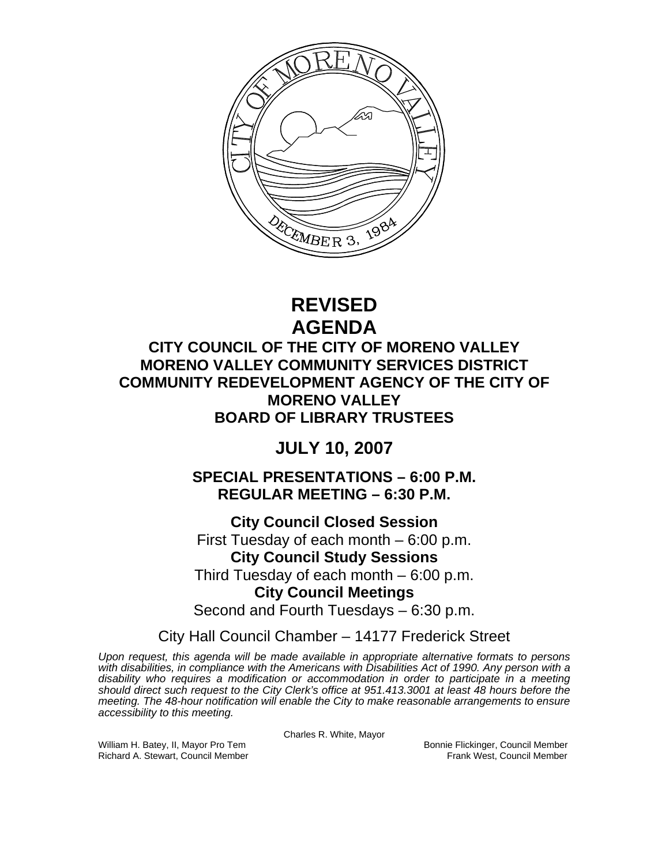

# **REVISED AGENDA**

## **CITY COUNCIL OF THE CITY OF MORENO VALLEY MORENO VALLEY COMMUNITY SERVICES DISTRICT COMMUNITY REDEVELOPMENT AGENCY OF THE CITY OF MORENO VALLEY BOARD OF LIBRARY TRUSTEES**

## **JULY 10, 2007**

**SPECIAL PRESENTATIONS – 6:00 P.M. REGULAR MEETING – 6:30 P.M.** 

**City Council Closed Session**  First Tuesday of each month – 6:00 p.m. **City Council Study Sessions**  Third Tuesday of each month – 6:00 p.m. **City Council Meetings** 

Second and Fourth Tuesdays – 6:30 p.m.

City Hall Council Chamber – 14177 Frederick Street

*Upon request, this agenda will be made available in appropriate alternative formats to persons with disabilities, in compliance with the Americans with Disabilities Act of 1990. Any person with a disability who requires a modification or accommodation in order to participate in a meeting should direct such request to the City Clerk's office at 951.413.3001 at least 48 hours before the meeting. The 48-hour notification will enable the City to make reasonable arrangements to ensure accessibility to this meeting.* 

Charles R. White, Mayor

William H. Batey, II, Mayor Pro Tem Bonnie Flickinger, Council Member<br>Richard A. Stewart, Council Member Bonnie Frank West, Council Member Richard A. Stewart, Council Member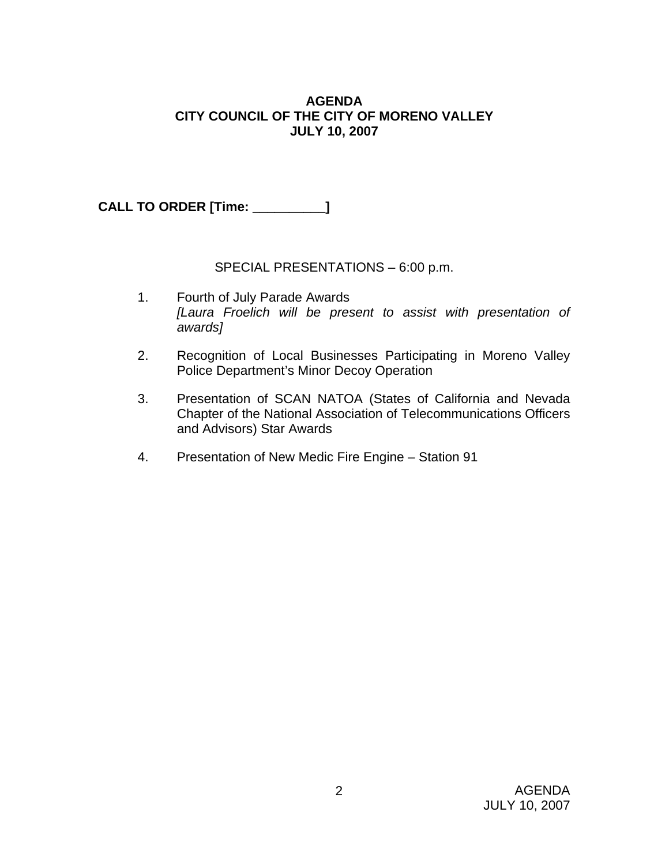## **AGENDA CITY COUNCIL OF THE CITY OF MORENO VALLEY JULY 10, 2007**

**CALL TO ORDER [Time: \_\_\_\_\_\_\_\_\_\_]**

## SPECIAL PRESENTATIONS – 6:00 p.m.

- 1. Fourth of July Parade Awards *[Laura Froelich will be present to assist with presentation of awards]*
- 2. Recognition of Local Businesses Participating in Moreno Valley Police Department's Minor Decoy Operation
- 3. Presentation of SCAN NATOA (States of California and Nevada Chapter of the National Association of Telecommunications Officers and Advisors) Star Awards
- 4. Presentation of New Medic Fire Engine Station 91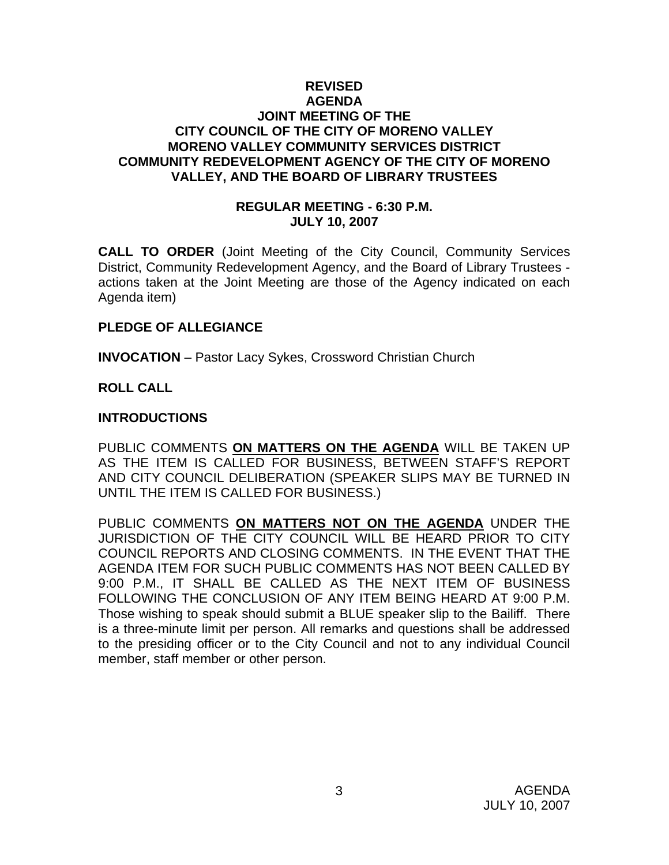## **REVISED AGENDA JOINT MEETING OF THE CITY COUNCIL OF THE CITY OF MORENO VALLEY MORENO VALLEY COMMUNITY SERVICES DISTRICT COMMUNITY REDEVELOPMENT AGENCY OF THE CITY OF MORENO VALLEY, AND THE BOARD OF LIBRARY TRUSTEES**

#### **REGULAR MEETING - 6:30 P.M. JULY 10, 2007**

**CALL TO ORDER** (Joint Meeting of the City Council, Community Services District, Community Redevelopment Agency, and the Board of Library Trustees actions taken at the Joint Meeting are those of the Agency indicated on each Agenda item)

#### **PLEDGE OF ALLEGIANCE**

**INVOCATION** – Pastor Lacy Sykes, Crossword Christian Church

## **ROLL CALL**

#### **INTRODUCTIONS**

PUBLIC COMMENTS **ON MATTERS ON THE AGENDA** WILL BE TAKEN UP AS THE ITEM IS CALLED FOR BUSINESS, BETWEEN STAFF'S REPORT AND CITY COUNCIL DELIBERATION (SPEAKER SLIPS MAY BE TURNED IN UNTIL THE ITEM IS CALLED FOR BUSINESS.)

PUBLIC COMMENTS **ON MATTERS NOT ON THE AGENDA** UNDER THE JURISDICTION OF THE CITY COUNCIL WILL BE HEARD PRIOR TO CITY COUNCIL REPORTS AND CLOSING COMMENTS. IN THE EVENT THAT THE AGENDA ITEM FOR SUCH PUBLIC COMMENTS HAS NOT BEEN CALLED BY 9:00 P.M., IT SHALL BE CALLED AS THE NEXT ITEM OF BUSINESS FOLLOWING THE CONCLUSION OF ANY ITEM BEING HEARD AT 9:00 P.M. Those wishing to speak should submit a BLUE speaker slip to the Bailiff. There is a three-minute limit per person. All remarks and questions shall be addressed to the presiding officer or to the City Council and not to any individual Council member, staff member or other person.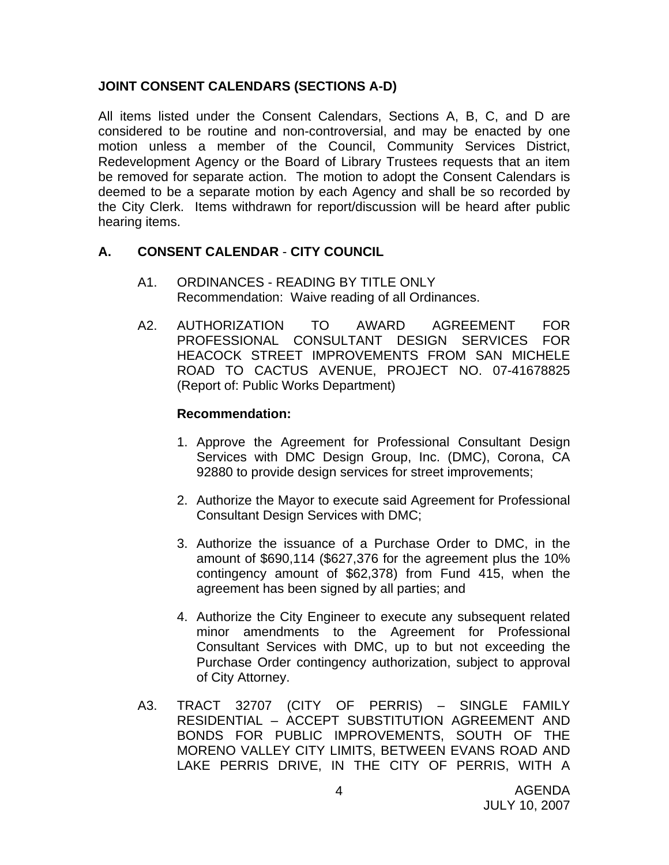## **JOINT CONSENT CALENDARS (SECTIONS A-D)**

All items listed under the Consent Calendars, Sections A, B, C, and D are considered to be routine and non-controversial, and may be enacted by one motion unless a member of the Council, Community Services District, Redevelopment Agency or the Board of Library Trustees requests that an item be removed for separate action. The motion to adopt the Consent Calendars is deemed to be a separate motion by each Agency and shall be so recorded by the City Clerk. Items withdrawn for report/discussion will be heard after public hearing items.

## **A. CONSENT CALENDAR** - **CITY COUNCIL**

- A1. ORDINANCES READING BY TITLE ONLY Recommendation: Waive reading of all Ordinances.
- A2. AUTHORIZATION TO AWARD AGREEMENT FOR PROFESSIONAL CONSULTANT DESIGN SERVICES FOR HEACOCK STREET IMPROVEMENTS FROM SAN MICHELE ROAD TO CACTUS AVENUE, PROJECT NO. 07-41678825 (Report of: Public Works Department)

- 1. Approve the Agreement for Professional Consultant Design Services with DMC Design Group, Inc. (DMC), Corona, CA 92880 to provide design services for street improvements;
- 2. Authorize the Mayor to execute said Agreement for Professional Consultant Design Services with DMC;
- 3. Authorize the issuance of a Purchase Order to DMC, in the amount of \$690,114 (\$627,376 for the agreement plus the 10% contingency amount of \$62,378) from Fund 415, when the agreement has been signed by all parties; and
- 4. Authorize the City Engineer to execute any subsequent related minor amendments to the Agreement for Professional Consultant Services with DMC, up to but not exceeding the Purchase Order contingency authorization, subject to approval of City Attorney.
- A3. TRACT 32707 (CITY OF PERRIS) SINGLE FAMILY RESIDENTIAL – ACCEPT SUBSTITUTION AGREEMENT AND BONDS FOR PUBLIC IMPROVEMENTS, SOUTH OF THE MORENO VALLEY CITY LIMITS, BETWEEN EVANS ROAD AND LAKE PERRIS DRIVE, IN THE CITY OF PERRIS, WITH A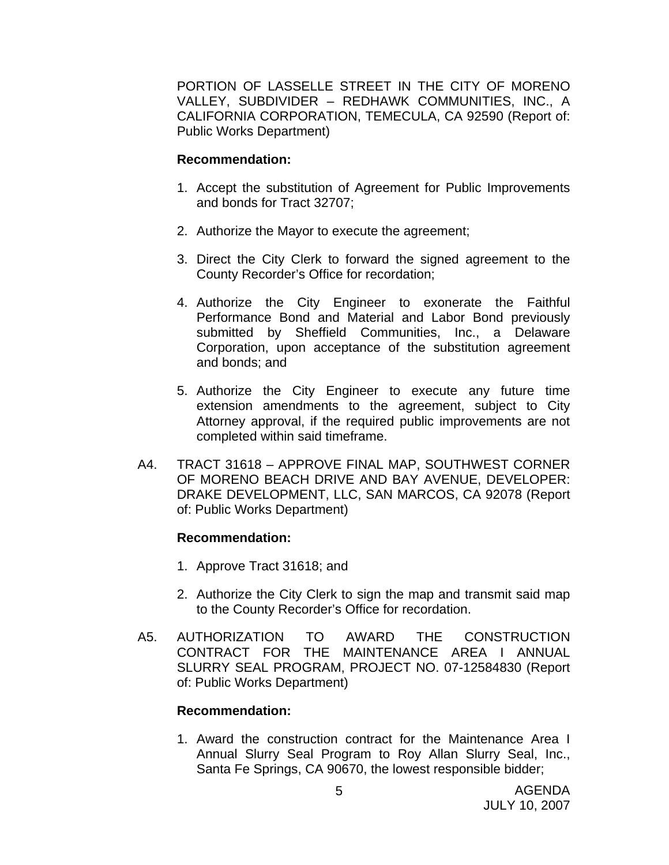PORTION OF LASSELLE STREET IN THE CITY OF MORENO VALLEY, SUBDIVIDER – REDHAWK COMMUNITIES, INC., A CALIFORNIA CORPORATION, TEMECULA, CA 92590 (Report of: Public Works Department)

### **Recommendation:**

- 1. Accept the substitution of Agreement for Public Improvements and bonds for Tract 32707;
- 2. Authorize the Mayor to execute the agreement;
- 3. Direct the City Clerk to forward the signed agreement to the County Recorder's Office for recordation;
- 4. Authorize the City Engineer to exonerate the Faithful Performance Bond and Material and Labor Bond previously submitted by Sheffield Communities, Inc., a Delaware Corporation, upon acceptance of the substitution agreement and bonds; and
- 5. Authorize the City Engineer to execute any future time extension amendments to the agreement, subject to City Attorney approval, if the required public improvements are not completed within said timeframe.
- A4. TRACT 31618 APPROVE FINAL MAP, SOUTHWEST CORNER OF MORENO BEACH DRIVE AND BAY AVENUE, DEVELOPER: DRAKE DEVELOPMENT, LLC, SAN MARCOS, CA 92078 (Report of: Public Works Department)

## **Recommendation:**

- 1. Approve Tract 31618; and
- 2. Authorize the City Clerk to sign the map and transmit said map to the County Recorder's Office for recordation.
- A5. AUTHORIZATION TO AWARD THE CONSTRUCTION CONTRACT FOR THE MAINTENANCE AREA I ANNUAL SLURRY SEAL PROGRAM, PROJECT NO. 07-12584830 (Report of: Public Works Department)

## **Recommendation:**

1. Award the construction contract for the Maintenance Area I Annual Slurry Seal Program to Roy Allan Slurry Seal, Inc., Santa Fe Springs, CA 90670, the lowest responsible bidder;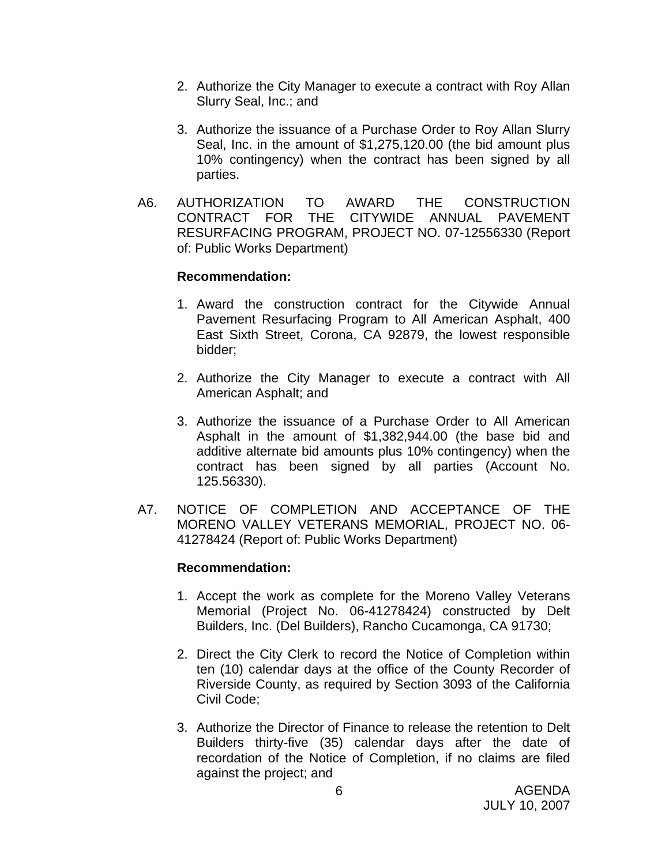- 2. Authorize the City Manager to execute a contract with Roy Allan Slurry Seal, Inc.; and
- 3. Authorize the issuance of a Purchase Order to Roy Allan Slurry Seal, Inc. in the amount of \$1,275,120.00 (the bid amount plus 10% contingency) when the contract has been signed by all parties.
- A6. AUTHORIZATION TO AWARD THE CONSTRUCTION CONTRACT FOR THE CITYWIDE ANNUAL PAVEMENT RESURFACING PROGRAM, PROJECT NO. 07-12556330 (Report of: Public Works Department)

#### **Recommendation:**

- 1. Award the construction contract for the Citywide Annual Pavement Resurfacing Program to All American Asphalt, 400 East Sixth Street, Corona, CA 92879, the lowest responsible bidder;
- 2. Authorize the City Manager to execute a contract with All American Asphalt; and
- 3. Authorize the issuance of a Purchase Order to All American Asphalt in the amount of \$1,382,944.00 (the base bid and additive alternate bid amounts plus 10% contingency) when the contract has been signed by all parties (Account No. 125.56330).
- A7. NOTICE OF COMPLETION AND ACCEPTANCE OF THE MORENO VALLEY VETERANS MEMORIAL, PROJECT NO. 06- 41278424 (Report of: Public Works Department)

- 1. Accept the work as complete for the Moreno Valley Veterans Memorial (Project No. 06-41278424) constructed by Delt Builders, Inc. (Del Builders), Rancho Cucamonga, CA 91730;
- 2. Direct the City Clerk to record the Notice of Completion within ten (10) calendar days at the office of the County Recorder of Riverside County, as required by Section 3093 of the California Civil Code;
- 3. Authorize the Director of Finance to release the retention to Delt Builders thirty-five (35) calendar days after the date of recordation of the Notice of Completion, if no claims are filed against the project; and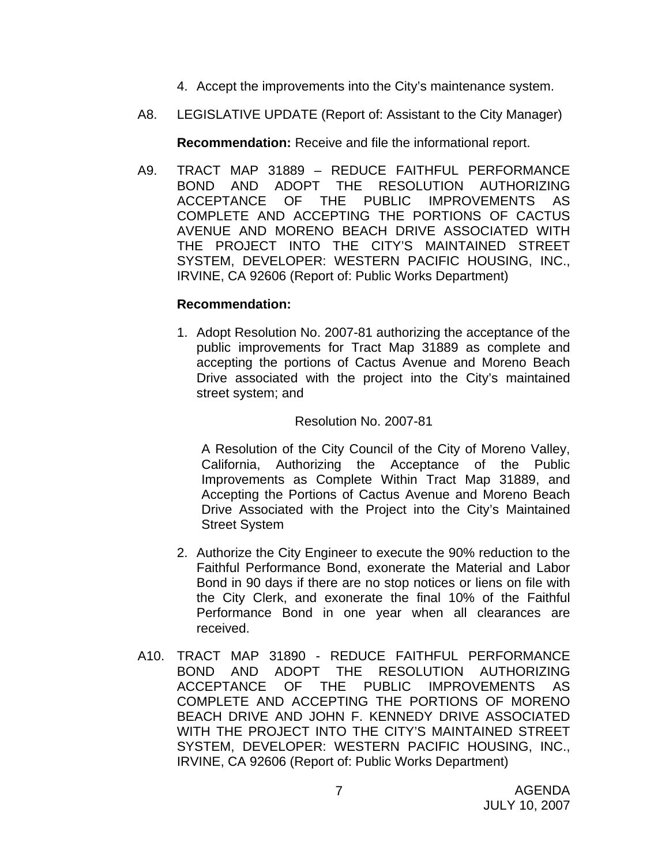- 4. Accept the improvements into the City's maintenance system.
- A8. LEGISLATIVE UPDATE (Report of: Assistant to the City Manager)

**Recommendation:** Receive and file the informational report.

A9. TRACT MAP 31889 – REDUCE FAITHFUL PERFORMANCE BOND AND ADOPT THE RESOLUTION AUTHORIZING ACCEPTANCE OF THE PUBLIC IMPROVEMENTS AS COMPLETE AND ACCEPTING THE PORTIONS OF CACTUS AVENUE AND MORENO BEACH DRIVE ASSOCIATED WITH THE PROJECT INTO THE CITY'S MAINTAINED STREET SYSTEM, DEVELOPER: WESTERN PACIFIC HOUSING, INC., IRVINE, CA 92606 (Report of: Public Works Department)

## **Recommendation:**

1. Adopt Resolution No. 2007-81 authorizing the acceptance of the public improvements for Tract Map 31889 as complete and accepting the portions of Cactus Avenue and Moreno Beach Drive associated with the project into the City's maintained street system; and

## Resolution No. 2007-81

 A Resolution of the City Council of the City of Moreno Valley, California, Authorizing the Acceptance of the Public Improvements as Complete Within Tract Map 31889, and Accepting the Portions of Cactus Avenue and Moreno Beach Drive Associated with the Project into the City's Maintained Street System

- 2. Authorize the City Engineer to execute the 90% reduction to the Faithful Performance Bond, exonerate the Material and Labor Bond in 90 days if there are no stop notices or liens on file with the City Clerk, and exonerate the final 10% of the Faithful Performance Bond in one year when all clearances are received.
- A10. TRACT MAP 31890 REDUCE FAITHFUL PERFORMANCE BOND AND ADOPT THE RESOLUTION AUTHORIZING ACCEPTANCE OF THE PUBLIC IMPROVEMENTS AS COMPLETE AND ACCEPTING THE PORTIONS OF MORENO BEACH DRIVE AND JOHN F. KENNEDY DRIVE ASSOCIATED WITH THE PROJECT INTO THE CITY'S MAINTAINED STREET SYSTEM, DEVELOPER: WESTERN PACIFIC HOUSING, INC., IRVINE, CA 92606 (Report of: Public Works Department)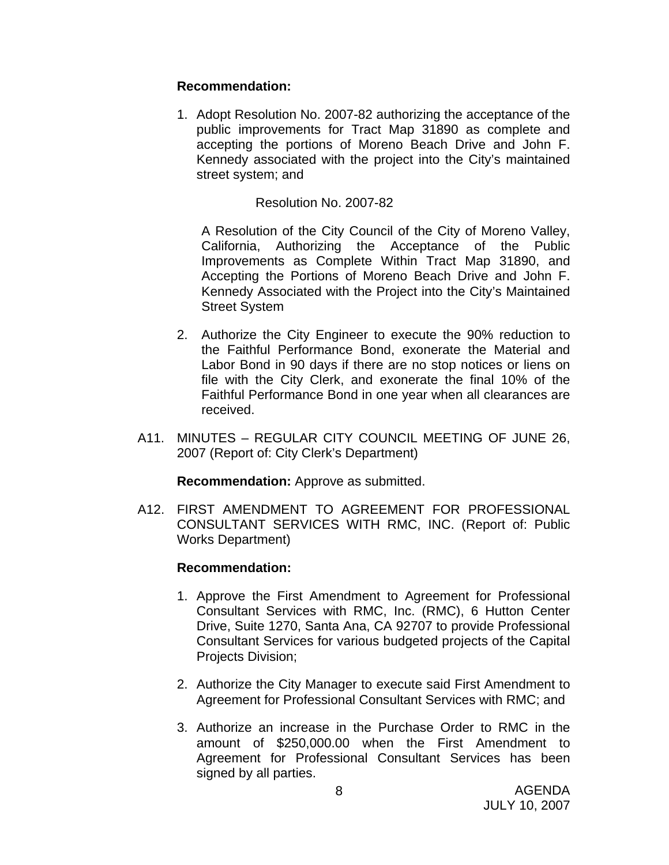## **Recommendation:**

1. Adopt Resolution No. 2007-82 authorizing the acceptance of the public improvements for Tract Map 31890 as complete and accepting the portions of Moreno Beach Drive and John F. Kennedy associated with the project into the City's maintained street system; and

## Resolution No. 2007-82

 A Resolution of the City Council of the City of Moreno Valley, California, Authorizing the Acceptance of the Public Improvements as Complete Within Tract Map 31890, and Accepting the Portions of Moreno Beach Drive and John F. Kennedy Associated with the Project into the City's Maintained Street System

- 2. Authorize the City Engineer to execute the 90% reduction to the Faithful Performance Bond, exonerate the Material and Labor Bond in 90 days if there are no stop notices or liens on file with the City Clerk, and exonerate the final 10% of the Faithful Performance Bond in one year when all clearances are received.
- A11. MINUTES REGULAR CITY COUNCIL MEETING OF JUNE 26, 2007 (Report of: City Clerk's Department)

**Recommendation:** Approve as submitted.

A12. FIRST AMENDMENT TO AGREEMENT FOR PROFESSIONAL CONSULTANT SERVICES WITH RMC, INC. (Report of: Public Works Department)

- 1. Approve the First Amendment to Agreement for Professional Consultant Services with RMC, Inc. (RMC), 6 Hutton Center Drive, Suite 1270, Santa Ana, CA 92707 to provide Professional Consultant Services for various budgeted projects of the Capital Projects Division;
- 2. Authorize the City Manager to execute said First Amendment to Agreement for Professional Consultant Services with RMC; and
- 3. Authorize an increase in the Purchase Order to RMC in the amount of \$250,000.00 when the First Amendment to Agreement for Professional Consultant Services has been signed by all parties.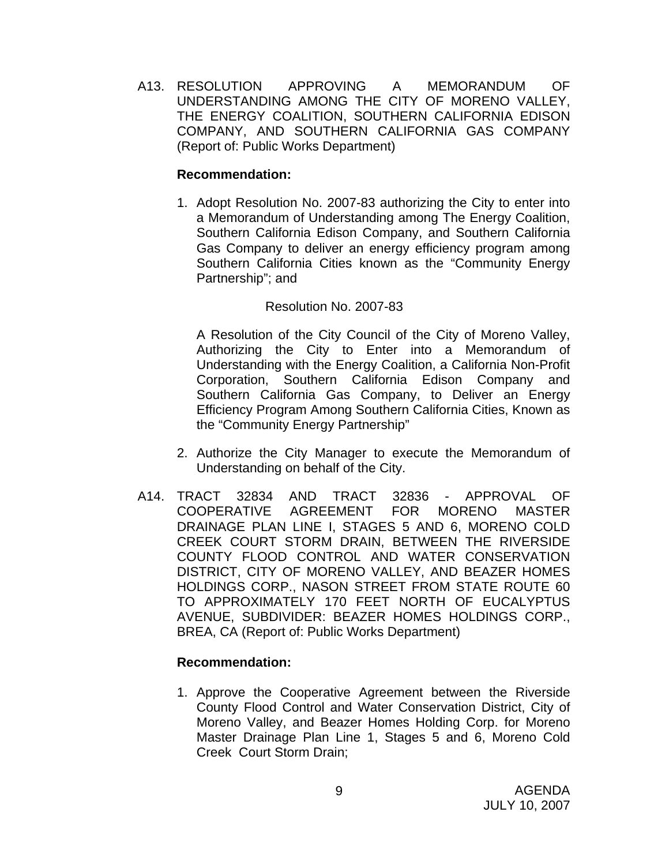A13. RESOLUTION APPROVING A MEMORANDUM OF UNDERSTANDING AMONG THE CITY OF MORENO VALLEY, THE ENERGY COALITION, SOUTHERN CALIFORNIA EDISON COMPANY, AND SOUTHERN CALIFORNIA GAS COMPANY (Report of: Public Works Department)

## **Recommendation:**

1. Adopt Resolution No. 2007-83 authorizing the City to enter into a Memorandum of Understanding among The Energy Coalition, Southern California Edison Company, and Southern California Gas Company to deliver an energy efficiency program among Southern California Cities known as the "Community Energy Partnership"; and

## Resolution No. 2007-83

A Resolution of the City Council of the City of Moreno Valley, Authorizing the City to Enter into a Memorandum of Understanding with the Energy Coalition, a California Non-Profit Corporation, Southern California Edison Company and Southern California Gas Company, to Deliver an Energy Efficiency Program Among Southern California Cities, Known as the "Community Energy Partnership"

- 2. Authorize the City Manager to execute the Memorandum of Understanding on behalf of the City.
- A14. TRACT 32834 AND TRACT 32836 APPROVAL OF COOPERATIVE AGREEMENT FOR MORENO MASTER DRAINAGE PLAN LINE I, STAGES 5 AND 6, MORENO COLD CREEK COURT STORM DRAIN, BETWEEN THE RIVERSIDE COUNTY FLOOD CONTROL AND WATER CONSERVATION DISTRICT, CITY OF MORENO VALLEY, AND BEAZER HOMES HOLDINGS CORP., NASON STREET FROM STATE ROUTE 60 TO APPROXIMATELY 170 FEET NORTH OF EUCALYPTUS AVENUE, SUBDIVIDER: BEAZER HOMES HOLDINGS CORP., BREA, CA (Report of: Public Works Department)

## **Recommendation:**

1. Approve the Cooperative Agreement between the Riverside County Flood Control and Water Conservation District, City of Moreno Valley, and Beazer Homes Holding Corp. for Moreno Master Drainage Plan Line 1, Stages 5 and 6, Moreno Cold Creek Court Storm Drain;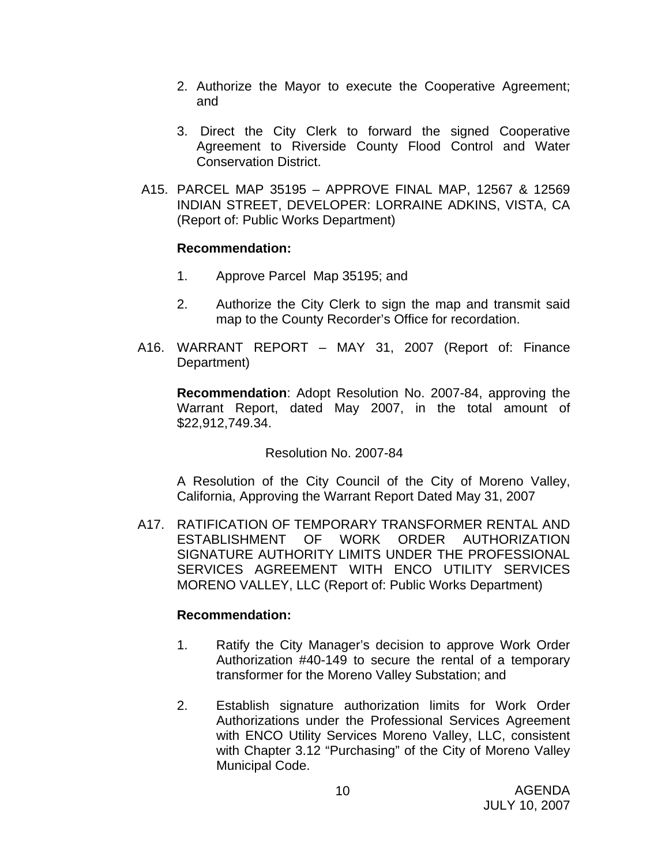- 2. Authorize the Mayor to execute the Cooperative Agreement; and
- 3. Direct the City Clerk to forward the signed Cooperative Agreement to Riverside County Flood Control and Water Conservation District.
- A15. PARCEL MAP 35195 APPROVE FINAL MAP, 12567 & 12569 INDIAN STREET, DEVELOPER: LORRAINE ADKINS, VISTA, CA (Report of: Public Works Department)

## **Recommendation:**

- 1. Approve Parcel Map 35195; and
- 2. Authorize the City Clerk to sign the map and transmit said map to the County Recorder's Office for recordation.
- A16. WARRANT REPORT MAY 31, 2007 (Report of: Finance Department)

**Recommendation**: Adopt Resolution No. 2007-84, approving the Warrant Report, dated May 2007, in the total amount of \$22,912,749.34.

## Resolution No. 2007-84

A Resolution of the City Council of the City of Moreno Valley, California, Approving the Warrant Report Dated May 31, 2007

A17. RATIFICATION OF TEMPORARY TRANSFORMER RENTAL AND ESTABLISHMENT OF WORK ORDER AUTHORIZATION SIGNATURE AUTHORITY LIMITS UNDER THE PROFESSIONAL SERVICES AGREEMENT WITH ENCO UTILITY SERVICES MORENO VALLEY, LLC (Report of: Public Works Department)

- 1. Ratify the City Manager's decision to approve Work Order Authorization #40-149 to secure the rental of a temporary transformer for the Moreno Valley Substation; and
- 2. Establish signature authorization limits for Work Order Authorizations under the Professional Services Agreement with ENCO Utility Services Moreno Valley, LLC, consistent with Chapter 3.12 "Purchasing" of the City of Moreno Valley Municipal Code.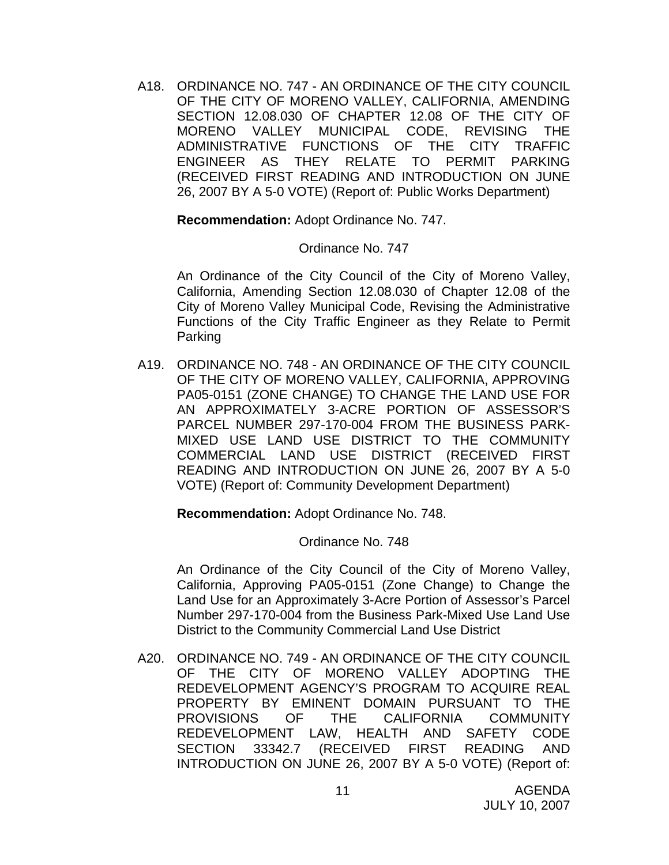A18. ORDINANCE NO. 747 - AN ORDINANCE OF THE CITY COUNCIL OF THE CITY OF MORENO VALLEY, CALIFORNIA, AMENDING SECTION 12.08.030 OF CHAPTER 12.08 OF THE CITY OF MORENO VALLEY MUNICIPAL CODE, REVISING THE ADMINISTRATIVE FUNCTIONS OF THE CITY TRAFFIC ENGINEER AS THEY RELATE TO PERMIT PARKING (RECEIVED FIRST READING AND INTRODUCTION ON JUNE 26, 2007 BY A 5-0 VOTE) (Report of: Public Works Department)

**Recommendation:** Adopt Ordinance No. 747.

#### Ordinance No. 747

An Ordinance of the City Council of the City of Moreno Valley, California, Amending Section 12.08.030 of Chapter 12.08 of the City of Moreno Valley Municipal Code, Revising the Administrative Functions of the City Traffic Engineer as they Relate to Permit Parking

A19. ORDINANCE NO. 748 - AN ORDINANCE OF THE CITY COUNCIL OF THE CITY OF MORENO VALLEY, CALIFORNIA, APPROVING PA05-0151 (ZONE CHANGE) TO CHANGE THE LAND USE FOR AN APPROXIMATELY 3-ACRE PORTION OF ASSESSOR'S PARCEL NUMBER 297-170-004 FROM THE BUSINESS PARK-MIXED USE LAND USE DISTRICT TO THE COMMUNITY COMMERCIAL LAND USE DISTRICT (RECEIVED FIRST READING AND INTRODUCTION ON JUNE 26, 2007 BY A 5-0 VOTE) (Report of: Community Development Department)

**Recommendation:** Adopt Ordinance No. 748.

#### Ordinance No. 748

An Ordinance of the City Council of the City of Moreno Valley, California, Approving PA05-0151 (Zone Change) to Change the Land Use for an Approximately 3-Acre Portion of Assessor's Parcel Number 297-170-004 from the Business Park-Mixed Use Land Use District to the Community Commercial Land Use District

A20. ORDINANCE NO. 749 - AN ORDINANCE OF THE CITY COUNCIL OF THE CITY OF MORENO VALLEY ADOPTING THE REDEVELOPMENT AGENCY'S PROGRAM TO ACQUIRE REAL PROPERTY BY EMINENT DOMAIN PURSUANT TO THE PROVISIONS OF THE CALIFORNIA COMMUNITY REDEVELOPMENT LAW, HEALTH AND SAFETY CODE SECTION 33342.7 (RECEIVED FIRST READING AND INTRODUCTION ON JUNE 26, 2007 BY A 5-0 VOTE) (Report of: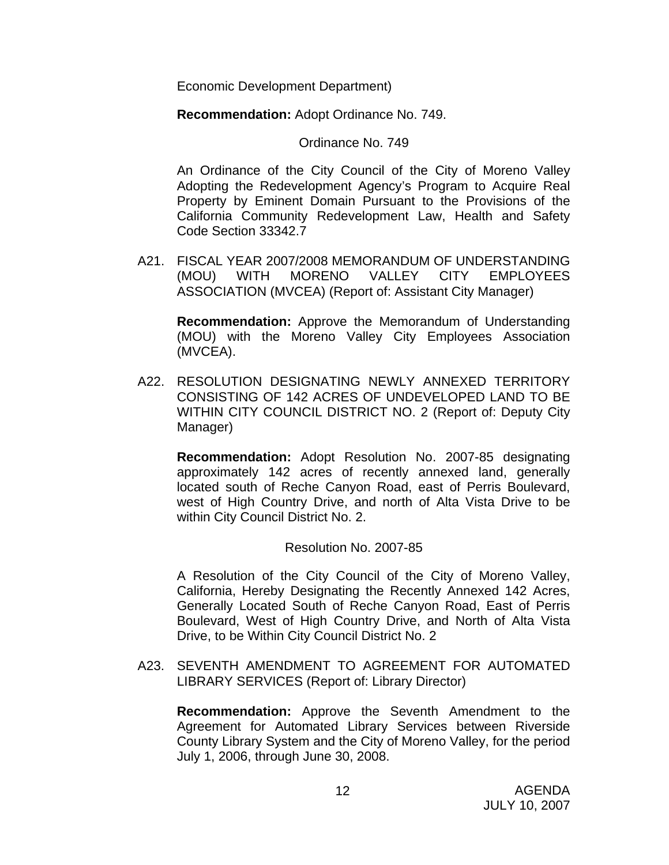Economic Development Department)

**Recommendation:** Adopt Ordinance No. 749.

Ordinance No. 749

An Ordinance of the City Council of the City of Moreno Valley Adopting the Redevelopment Agency's Program to Acquire Real Property by Eminent Domain Pursuant to the Provisions of the California Community Redevelopment Law, Health and Safety Code Section 33342.7

A21. FISCAL YEAR 2007/2008 MEMORANDUM OF UNDERSTANDING (MOU) WITH MORENO VALLEY CITY EMPLOYEES ASSOCIATION (MVCEA) (Report of: Assistant City Manager)

**Recommendation:** Approve the Memorandum of Understanding (MOU) with the Moreno Valley City Employees Association (MVCEA).

A22. RESOLUTION DESIGNATING NEWLY ANNEXED TERRITORY CONSISTING OF 142 ACRES OF UNDEVELOPED LAND TO BE WITHIN CITY COUNCIL DISTRICT NO. 2 (Report of: Deputy City Manager)

**Recommendation:** Adopt Resolution No. 2007-85 designating approximately 142 acres of recently annexed land, generally located south of Reche Canyon Road, east of Perris Boulevard, west of High Country Drive, and north of Alta Vista Drive to be within City Council District No. 2.

## Resolution No. 2007-85

A Resolution of the City Council of the City of Moreno Valley, California, Hereby Designating the Recently Annexed 142 Acres, Generally Located South of Reche Canyon Road, East of Perris Boulevard, West of High Country Drive, and North of Alta Vista Drive, to be Within City Council District No. 2

A23. SEVENTH AMENDMENT TO AGREEMENT FOR AUTOMATED LIBRARY SERVICES (Report of: Library Director)

**Recommendation:** Approve the Seventh Amendment to the Agreement for Automated Library Services between Riverside County Library System and the City of Moreno Valley, for the period July 1, 2006, through June 30, 2008.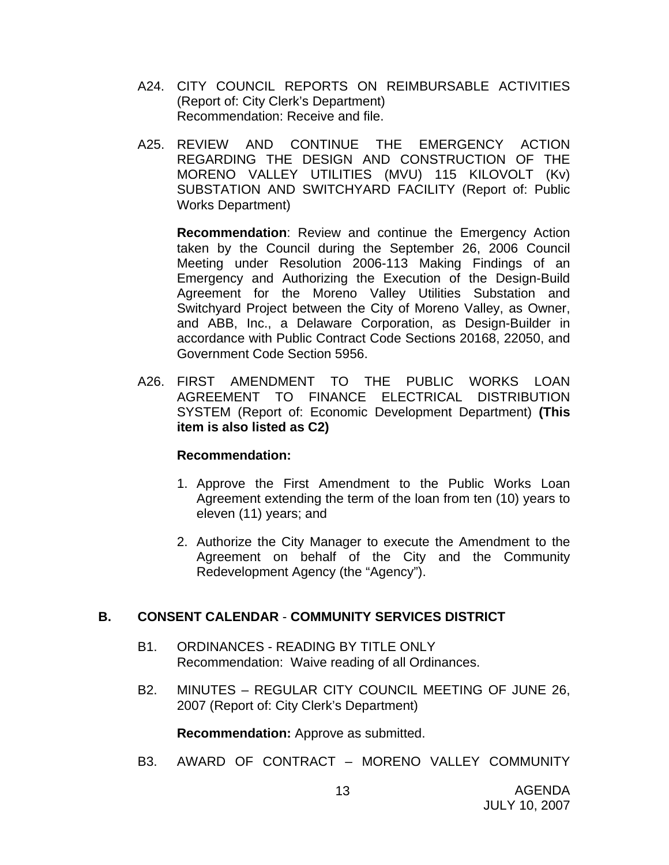- A24. CITY COUNCIL REPORTS ON REIMBURSABLE ACTIVITIES (Report of: City Clerk's Department) Recommendation: Receive and file.
- A25. REVIEW AND CONTINUE THE EMERGENCY ACTION REGARDING THE DESIGN AND CONSTRUCTION OF THE MORENO VALLEY UTILITIES (MVU) 115 KILOVOLT (Kv) SUBSTATION AND SWITCHYARD FACILITY (Report of: Public Works Department)

**Recommendation**: Review and continue the Emergency Action taken by the Council during the September 26, 2006 Council Meeting under Resolution 2006-113 Making Findings of an Emergency and Authorizing the Execution of the Design-Build Agreement for the Moreno Valley Utilities Substation and Switchyard Project between the City of Moreno Valley, as Owner, and ABB, Inc., a Delaware Corporation, as Design-Builder in accordance with Public Contract Code Sections 20168, 22050, and Government Code Section 5956.

A26. FIRST AMENDMENT TO THE PUBLIC WORKS LOAN AGREEMENT TO FINANCE ELECTRICAL DISTRIBUTION SYSTEM (Report of: Economic Development Department) **(This item is also listed as C2)** 

## **Recommendation:**

- 1. Approve the First Amendment to the Public Works Loan Agreement extending the term of the loan from ten (10) years to eleven (11) years; and
- 2. Authorize the City Manager to execute the Amendment to the Agreement on behalf of the City and the Community Redevelopment Agency (the "Agency").

## **B. CONSENT CALENDAR** - **COMMUNITY SERVICES DISTRICT**

- B1. ORDINANCES READING BY TITLE ONLY Recommendation: Waive reading of all Ordinances.
- B2. MINUTES REGULAR CITY COUNCIL MEETING OF JUNE 26, 2007 (Report of: City Clerk's Department)

**Recommendation:** Approve as submitted.

B3. AWARD OF CONTRACT – MORENO VALLEY COMMUNITY

13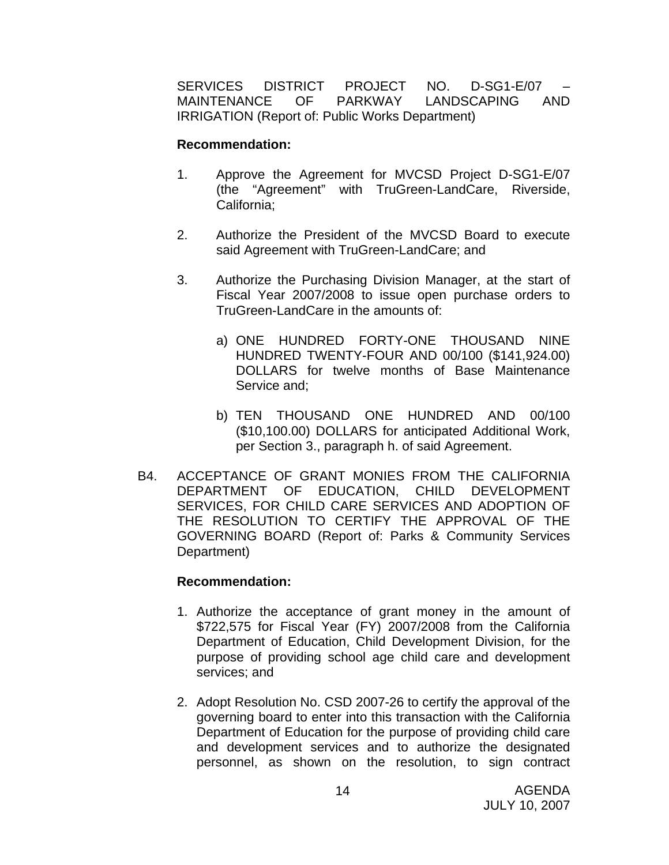SERVICES DISTRICT PROJECT NO. D-SG1-E/07 – MAINTENANCE OF PARKWAY LANDSCAPING AND IRRIGATION (Report of: Public Works Department)

#### **Recommendation:**

- 1. Approve the Agreement for MVCSD Project D-SG1-E/07 (the "Agreement" with TruGreen-LandCare, Riverside, California;
- 2. Authorize the President of the MVCSD Board to execute said Agreement with TruGreen-LandCare; and
- 3. Authorize the Purchasing Division Manager, at the start of Fiscal Year 2007/2008 to issue open purchase orders to TruGreen-LandCare in the amounts of:
	- a) ONE HUNDRED FORTY-ONE THOUSAND NINE HUNDRED TWENTY-FOUR AND 00/100 (\$141,924.00) DOLLARS for twelve months of Base Maintenance Service and;
	- b) TEN THOUSAND ONE HUNDRED AND 00/100 (\$10,100.00) DOLLARS for anticipated Additional Work, per Section 3., paragraph h. of said Agreement.
- B4. ACCEPTANCE OF GRANT MONIES FROM THE CALIFORNIA DEPARTMENT OF EDUCATION, CHILD DEVELOPMENT SERVICES, FOR CHILD CARE SERVICES AND ADOPTION OF THE RESOLUTION TO CERTIFY THE APPROVAL OF THE GOVERNING BOARD (Report of: Parks & Community Services Department)

- 1. Authorize the acceptance of grant money in the amount of \$722,575 for Fiscal Year (FY) 2007/2008 from the California Department of Education, Child Development Division, for the purpose of providing school age child care and development services; and
- 2. Adopt Resolution No. CSD 2007-26 to certify the approval of the governing board to enter into this transaction with the California Department of Education for the purpose of providing child care and development services and to authorize the designated personnel, as shown on the resolution, to sign contract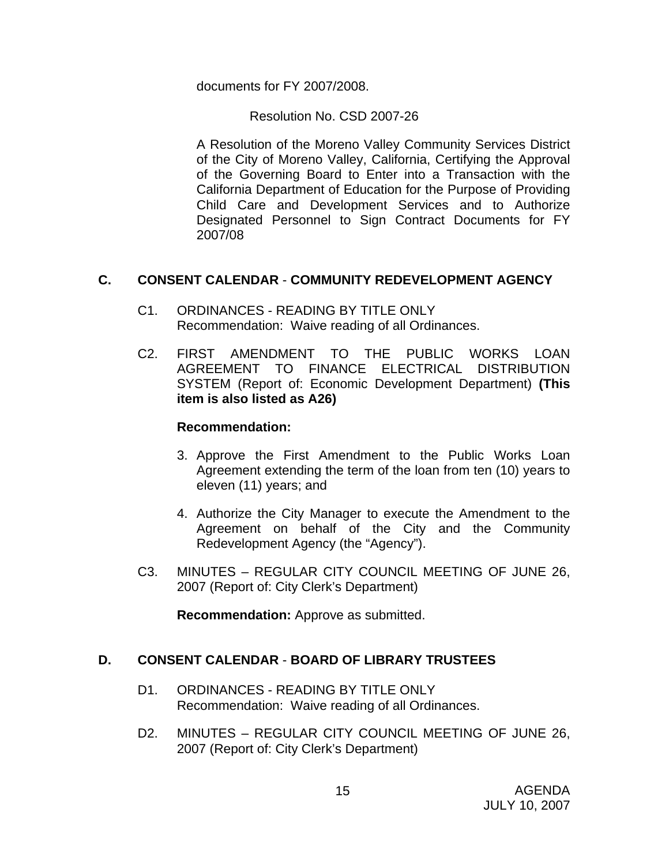documents for FY 2007/2008.

Resolution No. CSD 2007-26

 A Resolution of the Moreno Valley Community Services District of the City of Moreno Valley, California, Certifying the Approval of the Governing Board to Enter into a Transaction with the California Department of Education for the Purpose of Providing Child Care and Development Services and to Authorize Designated Personnel to Sign Contract Documents for FY 2007/08

## **C. CONSENT CALENDAR** - **COMMUNITY REDEVELOPMENT AGENCY**

- C1. ORDINANCES READING BY TITLE ONLY Recommendation: Waive reading of all Ordinances.
- C2. FIRST AMENDMENT TO THE PUBLIC WORKS LOAN AGREEMENT TO FINANCE ELECTRICAL DISTRIBUTION SYSTEM (Report of: Economic Development Department) **(This item is also listed as A26)**

## **Recommendation:**

- 3. Approve the First Amendment to the Public Works Loan Agreement extending the term of the loan from ten (10) years to eleven (11) years; and
- 4. Authorize the City Manager to execute the Amendment to the Agreement on behalf of the City and the Community Redevelopment Agency (the "Agency").
- C3. MINUTES REGULAR CITY COUNCIL MEETING OF JUNE 26, 2007 (Report of: City Clerk's Department)

**Recommendation:** Approve as submitted.

## **D. CONSENT CALENDAR** - **BOARD OF LIBRARY TRUSTEES**

- D1. ORDINANCES READING BY TITLE ONLY Recommendation: Waive reading of all Ordinances.
- D2. MINUTES REGULAR CITY COUNCIL MEETING OF JUNE 26, 2007 (Report of: City Clerk's Department)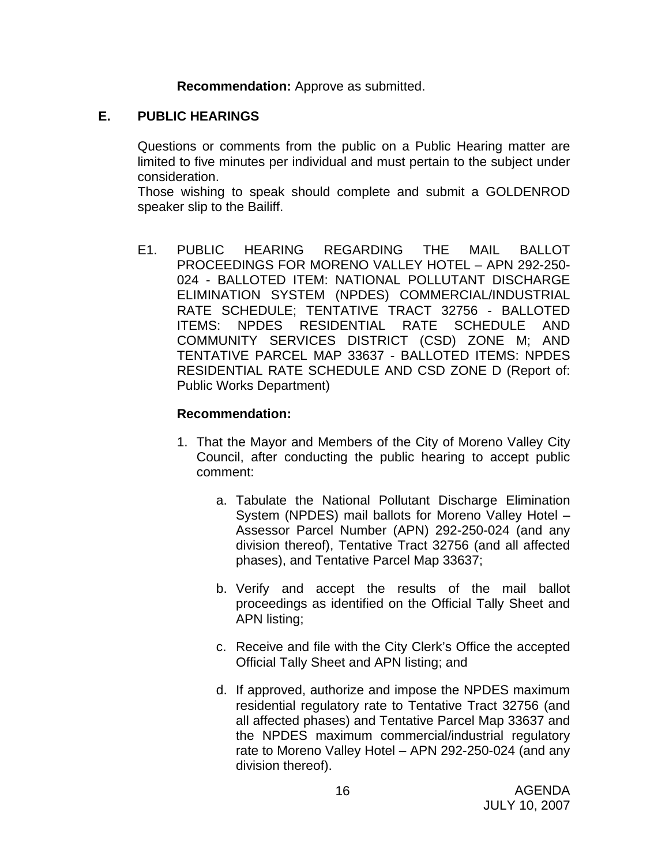**Recommendation:** Approve as submitted.

## **E. PUBLIC HEARINGS**

Questions or comments from the public on a Public Hearing matter are limited to five minutes per individual and must pertain to the subject under consideration.

 Those wishing to speak should complete and submit a GOLDENROD speaker slip to the Bailiff.

E1. PUBLIC HEARING REGARDING THE MAIL BALLOT PROCEEDINGS FOR MORENO VALLEY HOTEL – APN 292-250- 024 - BALLOTED ITEM: NATIONAL POLLUTANT DISCHARGE ELIMINATION SYSTEM (NPDES) COMMERCIAL/INDUSTRIAL RATE SCHEDULE; TENTATIVE TRACT 32756 - BALLOTED ITEMS: NPDES RESIDENTIAL RATE SCHEDULE AND COMMUNITY SERVICES DISTRICT (CSD) ZONE M; AND TENTATIVE PARCEL MAP 33637 - BALLOTED ITEMS: NPDES RESIDENTIAL RATE SCHEDULE AND CSD ZONE D (Report of: Public Works Department)

- 1. That the Mayor and Members of the City of Moreno Valley City Council, after conducting the public hearing to accept public comment:
	- a. Tabulate the National Pollutant Discharge Elimination System (NPDES) mail ballots for Moreno Valley Hotel – Assessor Parcel Number (APN) 292-250-024 (and any division thereof), Tentative Tract 32756 (and all affected phases), and Tentative Parcel Map 33637;
	- b. Verify and accept the results of the mail ballot proceedings as identified on the Official Tally Sheet and APN listing;
	- c. Receive and file with the City Clerk's Office the accepted Official Tally Sheet and APN listing; and
	- d. If approved, authorize and impose the NPDES maximum residential regulatory rate to Tentative Tract 32756 (and all affected phases) and Tentative Parcel Map 33637 and the NPDES maximum commercial/industrial regulatory rate to Moreno Valley Hotel – APN 292-250-024 (and any division thereof).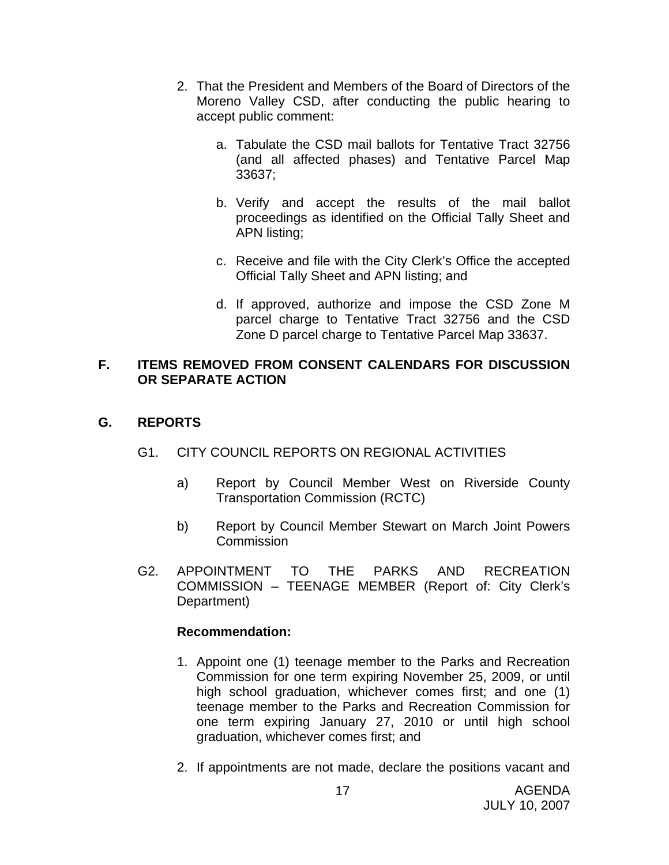- 2. That the President and Members of the Board of Directors of the Moreno Valley CSD, after conducting the public hearing to accept public comment:
	- a. Tabulate the CSD mail ballots for Tentative Tract 32756 (and all affected phases) and Tentative Parcel Map 33637;
	- b. Verify and accept the results of the mail ballot proceedings as identified on the Official Tally Sheet and APN listing;
	- c. Receive and file with the City Clerk's Office the accepted Official Tally Sheet and APN listing; and
	- d. If approved, authorize and impose the CSD Zone M parcel charge to Tentative Tract 32756 and the CSD Zone D parcel charge to Tentative Parcel Map 33637.

## **F. ITEMS REMOVED FROM CONSENT CALENDARS FOR DISCUSSION OR SEPARATE ACTION**

## **G. REPORTS**

## G1. CITY COUNCIL REPORTS ON REGIONAL ACTIVITIES

- a) Report by Council Member West on Riverside County Transportation Commission (RCTC)
- b) Report by Council Member Stewart on March Joint Powers Commission
- G2. APPOINTMENT TO THE PARKS AND RECREATION COMMISSION – TEENAGE MEMBER (Report of: City Clerk's Department)

- 1. Appoint one (1) teenage member to the Parks and Recreation Commission for one term expiring November 25, 2009, or until high school graduation, whichever comes first; and one (1) teenage member to the Parks and Recreation Commission for one term expiring January 27, 2010 or until high school graduation, whichever comes first; and
- 2. If appointments are not made, declare the positions vacant and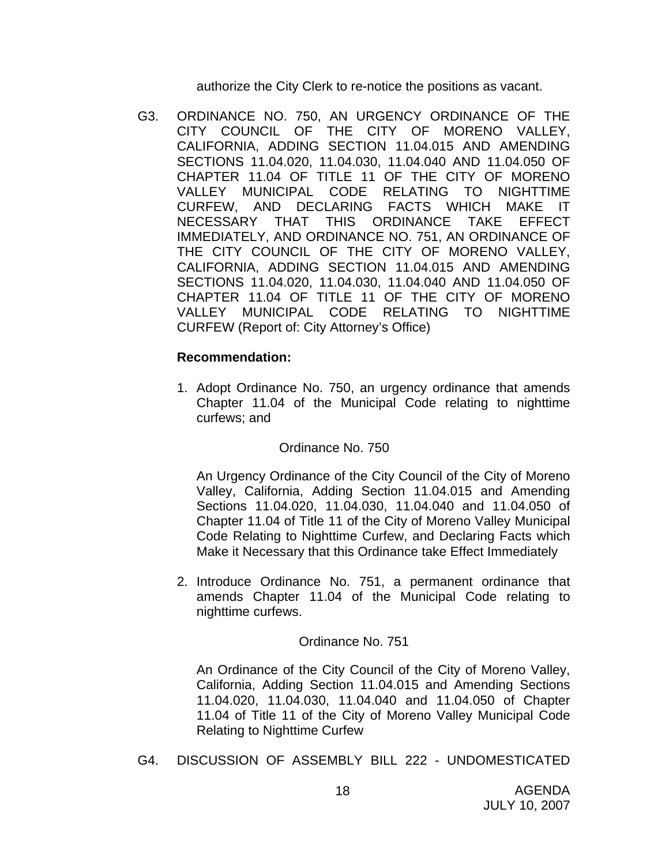authorize the City Clerk to re-notice the positions as vacant.

G3. ORDINANCE NO. 750, AN URGENCY ORDINANCE OF THE CITY COUNCIL OF THE CITY OF MORENO VALLEY, CALIFORNIA, ADDING SECTION 11.04.015 AND AMENDING SECTIONS 11.04.020, 11.04.030, 11.04.040 AND 11.04.050 OF CHAPTER 11.04 OF TITLE 11 OF THE CITY OF MORENO VALLEY MUNICIPAL CODE RELATING TO NIGHTTIME CURFEW, AND DECLARING FACTS WHICH MAKE IT NECESSARY THAT THIS ORDINANCE TAKE EFFECT IMMEDIATELY, AND ORDINANCE NO. 751, AN ORDINANCE OF THE CITY COUNCIL OF THE CITY OF MORENO VALLEY, CALIFORNIA, ADDING SECTION 11.04.015 AND AMENDING SECTIONS 11.04.020, 11.04.030, 11.04.040 AND 11.04.050 OF CHAPTER 11.04 OF TITLE 11 OF THE CITY OF MORENO VALLEY MUNICIPAL CODE RELATING TO NIGHTTIME CURFEW (Report of: City Attorney's Office)

## **Recommendation:**

1. Adopt Ordinance No. 750, an urgency ordinance that amends Chapter 11.04 of the Municipal Code relating to nighttime curfews; and

#### Ordinance No. 750

An Urgency Ordinance of the City Council of the City of Moreno Valley, California, Adding Section 11.04.015 and Amending Sections 11.04.020, 11.04.030, 11.04.040 and 11.04.050 of Chapter 11.04 of Title 11 of the City of Moreno Valley Municipal Code Relating to Nighttime Curfew, and Declaring Facts which Make it Necessary that this Ordinance take Effect Immediately

2. Introduce Ordinance No. 751, a permanent ordinance that amends Chapter 11.04 of the Municipal Code relating to nighttime curfews.

#### Ordinance No. 751

An Ordinance of the City Council of the City of Moreno Valley, California, Adding Section 11.04.015 and Amending Sections 11.04.020, 11.04.030, 11.04.040 and 11.04.050 of Chapter 11.04 of Title 11 of the City of Moreno Valley Municipal Code Relating to Nighttime Curfew

G4. DISCUSSION OF ASSEMBLY BILL 222 - UNDOMESTICATED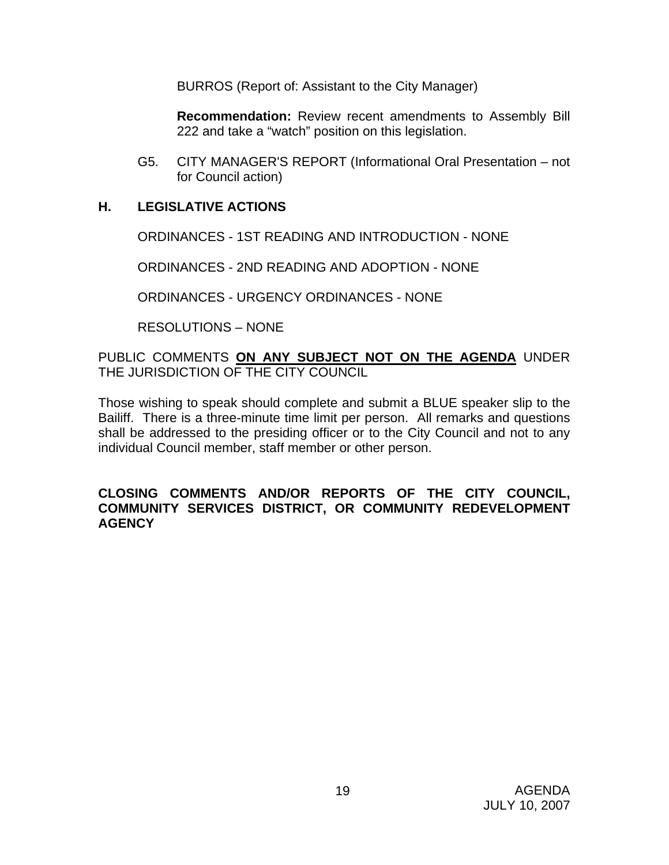BURROS (Report of: Assistant to the City Manager)

**Recommendation:** Review recent amendments to Assembly Bill 222 and take a "watch" position on this legislation.

G5. CITY MANAGER'S REPORT (Informational Oral Presentation – not for Council action)

## **H. LEGISLATIVE ACTIONS**

ORDINANCES - 1ST READING AND INTRODUCTION - NONE

ORDINANCES - 2ND READING AND ADOPTION - NONE

ORDINANCES - URGENCY ORDINANCES - NONE

RESOLUTIONS – NONE

PUBLIC COMMENTS **ON ANY SUBJECT NOT ON THE AGENDA** UNDER THE JURISDICTION OF THE CITY COUNCIL

Those wishing to speak should complete and submit a BLUE speaker slip to the Bailiff. There is a three-minute time limit per person. All remarks and questions shall be addressed to the presiding officer or to the City Council and not to any individual Council member, staff member or other person.

#### **CLOSING COMMENTS AND/OR REPORTS OF THE CITY COUNCIL, COMMUNITY SERVICES DISTRICT, OR COMMUNITY REDEVELOPMENT AGENCY**